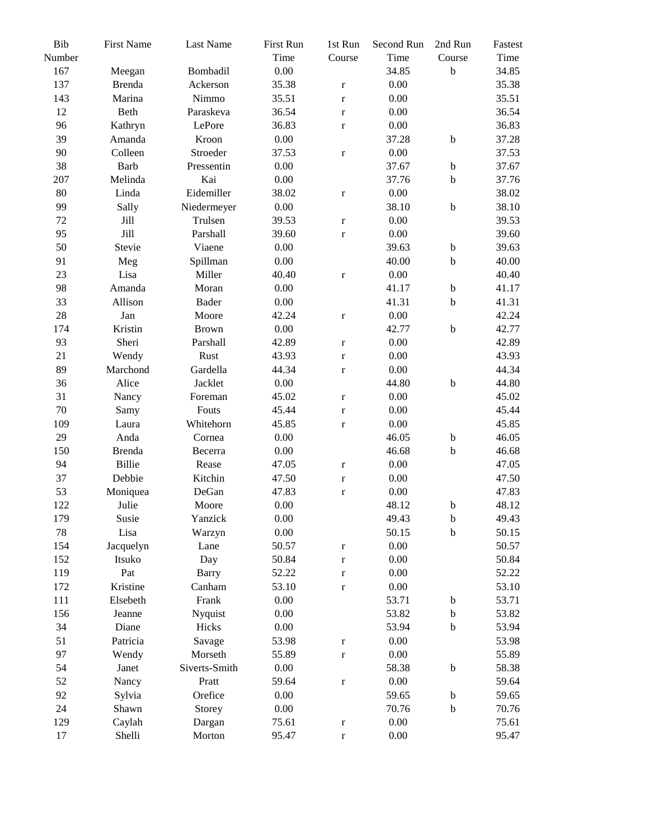| Bib<br>Number | <b>First Name</b> | Last Name     | First Run<br>Time | 1st Run<br>Course | Second Run<br>Time | 2nd Run<br>Course         | Fastest<br>Time |
|---------------|-------------------|---------------|-------------------|-------------------|--------------------|---------------------------|-----------------|
| 167           | Meegan            | Bombadil      | 0.00              |                   | 34.85              | $\bf b$                   | 34.85           |
| 137           | <b>Brenda</b>     | Ackerson      | 35.38             | $\mathbf r$       | $0.00\,$           |                           | 35.38           |
| 143           | Marina            | Nimmo         | 35.51             | $\mathbf r$       | $0.00\,$           |                           | 35.51           |
| 12            | Beth              | Paraskeva     | 36.54             | $\mathbf r$       | $0.00\,$           |                           | 36.54           |
| 96            | Kathryn           | LePore        | 36.83             | $\mathbf r$       | $0.00\,$           |                           | 36.83           |
| 39            | Amanda            | Kroon         | 0.00              |                   | 37.28              | $\mathbf b$               | 37.28           |
| 90            | Colleen           | Stroeder      | 37.53             | $\mathbf r$       | $0.00\,$           |                           | 37.53           |
| 38            | Barb              | Pressentin    | 0.00              |                   | 37.67              | $\rm b$                   | 37.67           |
| 207           | Melinda           | Kai           | 0.00              |                   | 37.76              | $\rm b$                   | 37.76           |
| 80            | Linda             | Eidemiller    | 38.02             | $\mathbf r$       | $0.00\,$           |                           | 38.02           |
| 99            | Sally             | Niedermeyer   | 0.00              |                   | 38.10              | $\mathbf b$               | 38.10           |
| 72            | Jill              | Trulsen       | 39.53             |                   | $0.00\,$           |                           | 39.53           |
|               | Jill              |               |                   | $\mathbf r$       |                    |                           | 39.60           |
| 95            |                   | Parshall      | 39.60             | $\mathbf r$       | $0.00\,$           |                           |                 |
| 50            | Stevie            | Viaene        | 0.00              |                   | 39.63              | $\rm b$                   | 39.63           |
| 91            | Meg               | Spillman      | 0.00              |                   | 40.00              | $\rm b$                   | 40.00           |
| 23            | Lisa              | Miller        | 40.40             | $\mathbf r$       | $0.00\,$           |                           | 40.40           |
| 98            | Amanda            | Moran         | 0.00              |                   | 41.17              | $\rm b$                   | 41.17           |
| 33            | Allison           | Bader         | $0.00\,$          |                   | 41.31              | $\rm b$                   | 41.31           |
| 28            | Jan               | Moore         | 42.24             | $\mathbf r$       | 0.00               |                           | 42.24           |
| 174           | Kristin           | <b>Brown</b>  | 0.00              |                   | 42.77              | $\bf b$                   | 42.77           |
| 93            | Sheri             | Parshall      | 42.89             | $\mathbf r$       | $0.00\,$           |                           | 42.89           |
| 21            | Wendy             | Rust          | 43.93             | $\mathbf r$       | 0.00               |                           | 43.93           |
| 89            | Marchond          | Gardella      | 44.34             | $\mathbf r$       | $0.00\,$           |                           | 44.34           |
| 36            | Alice             | Jacklet       | 0.00              |                   | 44.80              | $\rm b$                   | 44.80           |
| 31            | Nancy             | Foreman       | 45.02             | $\mathbf r$       | 0.00               |                           | 45.02           |
| 70            | Samy              | Fouts         | 45.44             | $\mathbf r$       | 0.00               |                           | 45.44           |
| 109           | Laura             | Whitehorn     | 45.85             | $\mathbf r$       | $0.00\,$           |                           | 45.85           |
| 29            | Anda              | Cornea        | 0.00              |                   | 46.05              | $\rm b$                   | 46.05           |
| 150           | <b>Brenda</b>     | Becerra       | 0.00              |                   | 46.68              | $\rm b$                   | 46.68           |
| 94            | Billie            | Rease         | 47.05             | $\mathbf r$       | 0.00               |                           | 47.05           |
| 37            | Debbie            | Kitchin       | 47.50             | $\mathbf r$       | $0.00\,$           |                           | 47.50           |
| 53            | Moniquea          | DeGan         | 47.83             | $\mathbf r$       | $0.00\,$           |                           | 47.83           |
| 122           | Julie             | Moore         | 0.00              |                   | 48.12              | $\rm b$                   | 48.12           |
| 179           | Susie             | Yanzick       | 0.00              |                   | 49.43              | $\boldsymbol{\mathrm{b}}$ | 49.43           |
| 78            | Lisa              | Warzyn        | $0.00\,$          |                   | 50.15              | $\bf b$                   | 50.15           |
| 154           | Jacquelyn         | Lane          | 50.57             | $\mathbf r$       | $0.00\,$           |                           | 50.57           |
| 152           | Itsuko            | Day           | 50.84             | $\mathbf r$       | 0.00               |                           | 50.84           |
| 119           | Pat               | <b>Barry</b>  | 52.22             | $\mathbf r$       | 0.00               |                           | 52.22           |
| 172           | Kristine          | Canham        | 53.10             | $\mathbf r$       | $0.00\,$           |                           | 53.10           |
| 111           | Elsebeth          | Frank         | 0.00              |                   | 53.71              | $\mathbf b$               | 53.71           |
| 156           | Jeanne            | Nyquist       | 0.00              |                   | 53.82              | $\mathbf b$               | 53.82           |
| 34            | Diane             | Hicks         | $0.00\,$          |                   | 53.94              | $\rm b$                   | 53.94           |
| 51            | Patricia          | Savage        | 53.98             | $\mathbf r$       | 0.00               |                           | 53.98           |
| 97            | Wendy             | Morseth       | 55.89             | $\mathbf r$       | 0.00               |                           | 55.89           |
| 54            | Janet             | Siverts-Smith | 0.00              |                   | 58.38              | $\mathbf b$               | 58.38           |
| 52            | Nancy             | Pratt         | 59.64             | $\mathbf r$       | 0.00               |                           | 59.64           |
| 92            | Sylvia            | Orefice       | 0.00              |                   | 59.65              | $\mathbf b$               | 59.65           |
| 24            | Shawn             | Storey        | $0.00\,$          |                   | 70.76              | $\rm b$                   | 70.76           |
| 129           | Caylah            | Dargan        | 75.61             | $\mathbf r$       | 0.00               |                           | 75.61           |
| $17\,$        | Shelli            | Morton        | 95.47             |                   | $0.00\,$           |                           | 95.47           |
|               |                   |               |                   | $\mathbf r$       |                    |                           |                 |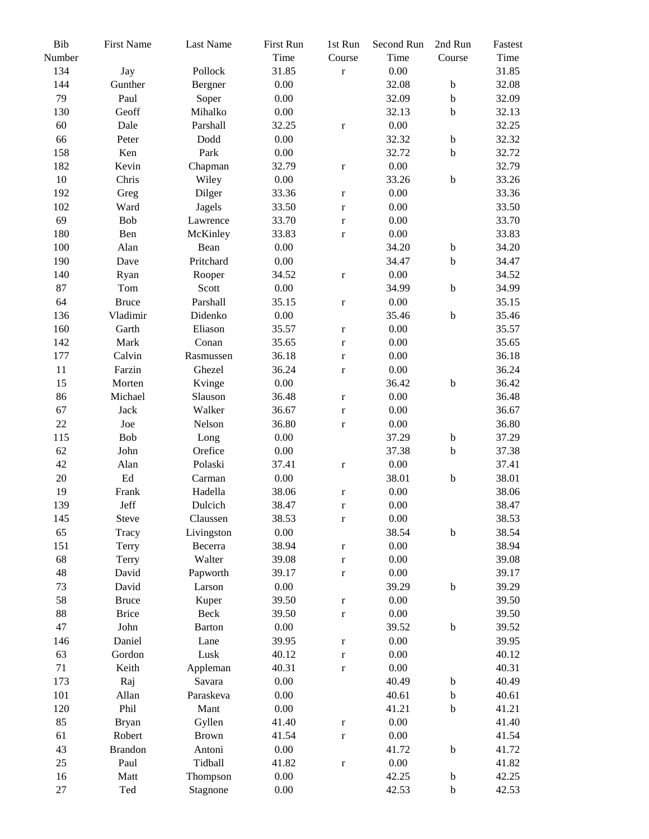| Bib<br>Number | <b>First Name</b>   | Last Name     | First Run<br>Time | 1st Run<br>Course | Second Run<br>Time | 2nd Run<br>Course | Fastest<br>Time |
|---------------|---------------------|---------------|-------------------|-------------------|--------------------|-------------------|-----------------|
| 134           | Jay                 | Pollock       | 31.85             | $\mathbf r$       | $0.00\,$           |                   | 31.85           |
| 144           | Gunther             | Bergner       | 0.00              |                   | 32.08              | $\mathbf b$       | 32.08           |
| 79            |                     |               |                   |                   |                    |                   | 32.09           |
|               | Paul                | Soper         | 0.00              |                   | 32.09              | $\mathbf b$       |                 |
| 130           | Geoff               | Mihalko       | 0.00              |                   | 32.13              | $\mathbf b$       | 32.13           |
| 60            | Dale                | Parshall      | 32.25             | $\mathbf r$       | $0.00\,$           |                   | 32.25           |
| 66            | Peter               | Dodd          | 0.00              |                   | 32.32              | $\mathbf b$       | 32.32           |
| 158           | Ken                 | Park          | 0.00              |                   | 32.72              | $\mathbf b$       | 32.72           |
| 182           | Kevin               | Chapman       | 32.79             | $\mathbf r$       | $0.00\,$           |                   | 32.79           |
| $10\,$        | Chris               | Wiley         | 0.00              |                   | 33.26              | $\bf b$           | 33.26           |
| 192           | Greg                | Dilger        | 33.36             | $\mathbf r$       | $0.00\,$           |                   | 33.36           |
| 102           | Ward                | Jagels        | 33.50             | $\mathbf r$       | 0.00               |                   | 33.50           |
| 69            | Bob                 | Lawrence      | 33.70             | $\mathbf r$       | 0.00               |                   | 33.70           |
| 180           | Ben                 | McKinley      | 33.83             | $\mathbf r$       | $0.00\,$           |                   | 33.83           |
| 100           | Alan                | Bean          | 0.00              |                   | 34.20              | $\mathbf b$       | 34.20           |
| 190           | Dave                | Pritchard     | 0.00              |                   | 34.47              | $\mathbf b$       | 34.47           |
| 140           | Ryan                | Rooper        | 34.52             | $\mathbf r$       | $0.00\,$           |                   | 34.52           |
| 87            | Tom                 | Scott         | 0.00              |                   | 34.99              | $\mathbf b$       | 34.99           |
| 64            | <b>Bruce</b>        | Parshall      | 35.15             | $\mathbf r$       | $0.00\,$           |                   | 35.15           |
| 136           | Vladimir            | Didenko       | 0.00              |                   | 35.46              | $\bf b$           | 35.46           |
| 160           | Garth               | Eliason       | 35.57             | $\mathbf r$       | 0.00               |                   | 35.57           |
| 142           | Mark                | Conan         | 35.65             | $\mathbf r$       | $0.00\,$           |                   | 35.65           |
| 177           | Calvin              | Rasmussen     | 36.18             | $\mathbf r$       | 0.00               |                   | 36.18           |
| $11\,$        | Farzin              | Ghezel        | 36.24             | $\mathbf r$       | $0.00\,$           |                   | 36.24           |
| 15            | Morten              | Kvinge        | 0.00              |                   | 36.42              | $\mathbf b$       | 36.42           |
| 86            | Michael             | Slauson       | 36.48             | $\mathbf r$       | $0.00\,$           |                   | 36.48           |
| 67            | Jack                | Walker        | 36.67             | $\mathbf r$       | 0.00               |                   | 36.67           |
| 22            | Joe                 | Nelson        | 36.80             | $\mathbf r$       | $0.00\,$           |                   | 36.80           |
| 115           | Bob                 | Long          | 0.00              |                   | 37.29              | $\mathbf b$       | 37.29           |
| 62            | John                | Orefice       | 0.00              |                   | 37.38              | $\mathbf b$       | 37.38           |
| 42            | Alan                | Polaski       | 37.41             | $\mathbf r$       | $0.00\,$           |                   | 37.41           |
| $20\,$        | $\operatorname{Ed}$ | Carman        | 0.00              |                   | 38.01              | $\mathbf b$       | 38.01           |
| 19            | Frank               | Hadella       | 38.06             | $\mathbf r$       | 0.00               |                   | 38.06           |
| 139           | Jeff                | Dulcich       | 38.47             | $\bf r$           | 0.00               |                   | 38.47           |
| 145           | Steve               | Claussen      | 38.53             | $\bf r$           | $0.00\,$           |                   | 38.53           |
| 65            | Tracy               | Livingston    | 0.00              |                   | 38.54              | $\bf b$           | 38.54           |
| 151           |                     | Becerra       | 38.94             |                   | 0.00               |                   | 38.94           |
| 68            | Terry<br>Terry      | Walter        | 39.08             | $\mathbf r$       | 0.00               |                   | 39.08           |
| 48            | David               |               | 39.17             | $\mathbf r$       | $0.00\,$           |                   | 39.17           |
|               |                     | Papworth      | 0.00              | $\mathbf r$       | 39.29              |                   |                 |
| 73            | David               | Larson        |                   |                   |                    | $\mathbf b$       | 39.29           |
| 58            | <b>Bruce</b>        | Kuper         | 39.50             | $\mathbf r$       | 0.00               |                   | 39.50           |
| 88            | <b>Brice</b>        | Beck          | 39.50             | $\mathbf r$       | $0.00\,$           |                   | 39.50           |
| 47            | John                | <b>Barton</b> | 0.00              |                   | 39.52              | $\mathbf b$       | 39.52           |
| 146           | Daniel              | Lane          | 39.95             | $\bf r$           | $0.00\,$           |                   | 39.95           |
| 63            | Gordon              | Lusk          | 40.12             | $\mathbf r$       | 0.00               |                   | 40.12           |
| 71            | Keith               | Appleman      | 40.31             | $\mathbf r$       | $0.00\,$           |                   | 40.31           |
| 173           | Raj                 | Savara        | 0.00              |                   | 40.49              | $\mathbf b$       | 40.49           |
| 101           | Allan               | Paraskeva     | 0.00              |                   | 40.61              | $\mathbf b$       | 40.61           |
| 120           | Phil                | Mant          | 0.00              |                   | 41.21              | $\mathbf b$       | 41.21           |
| 85            | <b>Bryan</b>        | Gyllen        | 41.40             | $\mathbf r$       | $0.00\,$           |                   | 41.40           |
| 61            | Robert              | <b>Brown</b>  | 41.54             | $\mathbf r$       | 0.00               |                   | 41.54           |
| 43            | <b>Brandon</b>      | Antoni        | 0.00              |                   | 41.72              | $\mathbf b$       | 41.72           |
| 25            | Paul                | Tidball       | 41.82             | $\mathbf r$       | 0.00               |                   | 41.82           |
| 16            | Matt                | Thompson      | 0.00              |                   | 42.25              | $\mathbf b$       | 42.25           |
| $27\,$        | Ted                 | Stagnone      | 0.00              |                   | 42.53              | $\mathbf b$       | 42.53           |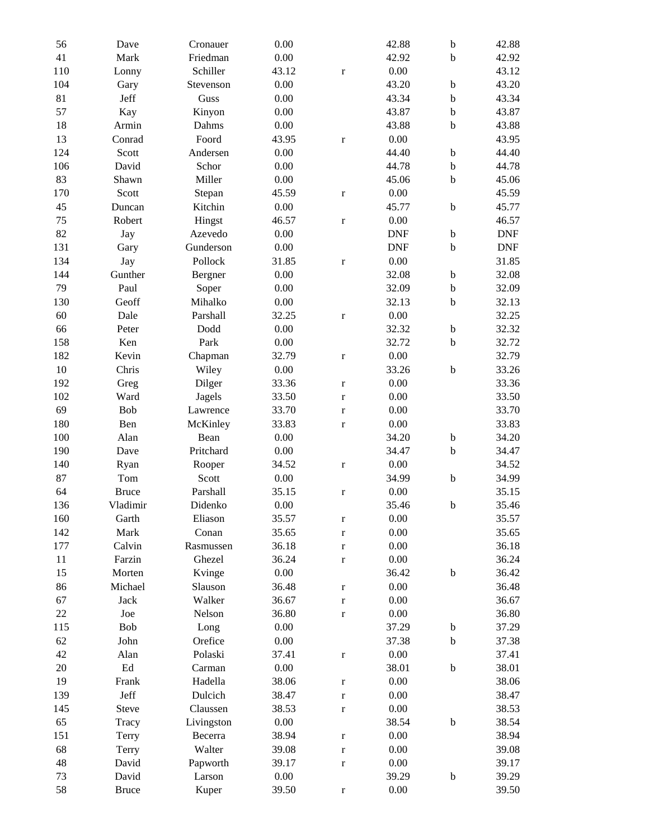| 56         | Dave                | Cronauer            | 0.00           |                        | 42.88        | $\rm b$                   | 42.88                       |
|------------|---------------------|---------------------|----------------|------------------------|--------------|---------------------------|-----------------------------|
| 41         | Mark                | Friedman            | 0.00           |                        | 42.92        | b                         | 42.92                       |
| 110        | Lonny               | Schiller            | 43.12          | $\mathbf r$            | $0.00\,$     |                           | 43.12                       |
| 104        | Gary                | Stevenson           | 0.00           |                        | 43.20        | b                         | 43.20                       |
| 81         | Jeff                | Guss                | 0.00           |                        | 43.34        | $\mathbf b$               | 43.34                       |
| 57         | Kay                 | Kinyon              | 0.00           |                        | 43.87        | $\mathbf b$               | 43.87                       |
| 18         | Armin               | Dahms               | 0.00           |                        | 43.88        | $\mathbf b$               | 43.88                       |
| 13         | Conrad              | Foord               | 43.95          | $\bf r$                | 0.00         |                           | 43.95                       |
| 124        | Scott               | Andersen            | 0.00           |                        | 44.40        | $\rm b$                   | 44.40                       |
| 106        | David               | Schor               | 0.00           |                        | 44.78        | $\mathbf b$               | 44.78                       |
| 83         | Shawn               | Miller              | 0.00           |                        | 45.06        | $\mathbf b$               | 45.06                       |
| 170        | Scott               | Stepan              | 45.59          | $\bf r$                | 0.00         |                           | 45.59                       |
| 45         | Duncan              | Kitchin             | 0.00           |                        | 45.77        | $\mathbf b$               | 45.77                       |
| 75         | Robert              | Hingst              | 46.57          | $\mathbf r$            | $0.00\,$     |                           | 46.57                       |
| 82         | Jay                 | Azevedo             | 0.00           |                        | <b>DNF</b>   | $\mathbf b$               | <b>DNF</b>                  |
| 131        | Gary                | Gunderson           | 0.00           |                        | <b>DNF</b>   | $\mathbf b$               | $\ensuremath{\mathsf{DNF}}$ |
| 134        | Jay                 | Pollock             | 31.85          | $\mathbf r$            | 0.00         |                           | 31.85                       |
| 144        | Gunther             | Bergner             | 0.00           |                        | 32.08        | $\mathbf b$               | 32.08                       |
| 79         | Paul                | Soper               | 0.00           |                        | 32.09        | $\mathbf b$               | 32.09                       |
| 130        | Geoff               | Mihalko             | 0.00           |                        | 32.13        | $\mathbf b$               | 32.13                       |
| 60         | Dale                | Parshall            | 32.25          | $\mathbf r$            | 0.00         |                           | 32.25                       |
| 66         | Peter               | Dodd                | 0.00           |                        | 32.32        | $\mathbf b$               | 32.32                       |
| 158        | Ken                 | Park                | 0.00           |                        | 32.72        | $\mathbf b$               | 32.72                       |
| 182        | Kevin               | Chapman             | 32.79          | $\mathbf r$            | 0.00         |                           | 32.79                       |
| 10         | Chris               | Wiley               | 0.00           |                        | 33.26        | $\bf b$                   | 33.26                       |
| 192        | Greg                | Dilger              | 33.36          |                        | 0.00         |                           | 33.36                       |
| 102        | Ward                | Jagels              | 33.50          | $\bf r$<br>$\mathbf r$ | 0.00         |                           | 33.50                       |
| 69         | Bob                 | Lawrence            | 33.70          |                        | 0.00         |                           | 33.70                       |
| 180        | Ben                 | McKinley            | 33.83          | $\bf r$                | 0.00         |                           | 33.83                       |
| 100        | Alan                | Bean                | 0.00           | $\mathbf r$            | 34.20        | $\mathbf b$               | 34.20                       |
| 190        | Dave                | Pritchard           | 0.00           |                        | 34.47        | $\mathbf b$               | 34.47                       |
| 140        |                     |                     | 34.52          |                        | 0.00         |                           | 34.52                       |
| 87         | Ryan<br>Tom         | Rooper<br>Scott     | 0.00           | $\bf r$                | 34.99        | $\rm b$                   | 34.99                       |
| 64         | <b>Bruce</b>        | Parshall            | 35.15          |                        | 0.00         |                           | 35.15                       |
| 136        | Vladimir            | Didenko             | 0.00           | $\mathbf r$            | 35.46        | b                         | 35.46                       |
|            |                     |                     |                |                        |              |                           |                             |
| 160        | Garth               | Eliason<br>Conan    | 35.57          | $\mathbf r$            | 0.00         |                           | 35.57                       |
| 142<br>177 | Mark                |                     | 35.65          | r                      | 0.00<br>0.00 |                           | 35.65                       |
| 11         | Calvin              | Rasmussen<br>Ghezel | 36.18<br>36.24 | $\mathbf r$            | 0.00         |                           | 36.18<br>36.24              |
| 15         | Farzin              |                     | 0.00           | r                      | 36.42        | $\boldsymbol{\mathrm{b}}$ |                             |
|            | Morten              | Kvinge<br>Slauson   |                |                        |              |                           | 36.42                       |
| 86<br>67   | Michael             | Walker              | 36.48          | $\bf r$                | 0.00<br>0.00 |                           | 36.48                       |
| $22\,$     | Jack                |                     | 36.67<br>36.80 | $\mathbf r$            |              |                           | 36.67                       |
|            | $\rm Joe$           | Nelson              |                | $\mathbf r$            | $0.00\,$     | $\rm b$                   | 36.80                       |
| 115        | Bob                 | Long                | $0.00\,$       |                        | 37.29        |                           | 37.29                       |
| 62         | John                | Orefice             | 0.00           |                        | 37.38        | b                         | 37.38                       |
| 42         | Alan                | Polaski             | 37.41          | $\bf r$                | 0.00         |                           | 37.41                       |
| $20\,$     | $\operatorname{Ed}$ | Carman              | 0.00           |                        | 38.01        | $\mathbf b$               | 38.01                       |
| 19         | Frank               | Hadella             | 38.06          | r                      | 0.00         |                           | 38.06                       |
| 139        | Jeff                | Dulcich             | 38.47          | $\mathbf r$            | 0.00         |                           | 38.47                       |
| 145        | Steve               | Claussen            | 38.53          | $\mathbf r$            | 0.00         |                           | 38.53                       |
| 65         | Tracy               | Livingston          | $0.00\,$       |                        | 38.54        | $\mathbf b$               | 38.54                       |
| 151        | Terry               | Becerra             | 38.94          | $\mathbf r$            | $0.00\,$     |                           | 38.94                       |
| 68         | Terry               | Walter              | 39.08          | r                      | 0.00         |                           | 39.08                       |
| 48         | David               | Papworth            | 39.17          | r                      | 0.00         |                           | 39.17                       |
| 73         | David               | Larson              | $0.00\,$       |                        | 39.29        | $\mathbf b$               | 39.29                       |
| 58         | <b>Bruce</b>        | Kuper               | 39.50          | $\mathbf r$            | 0.00         |                           | 39.50                       |